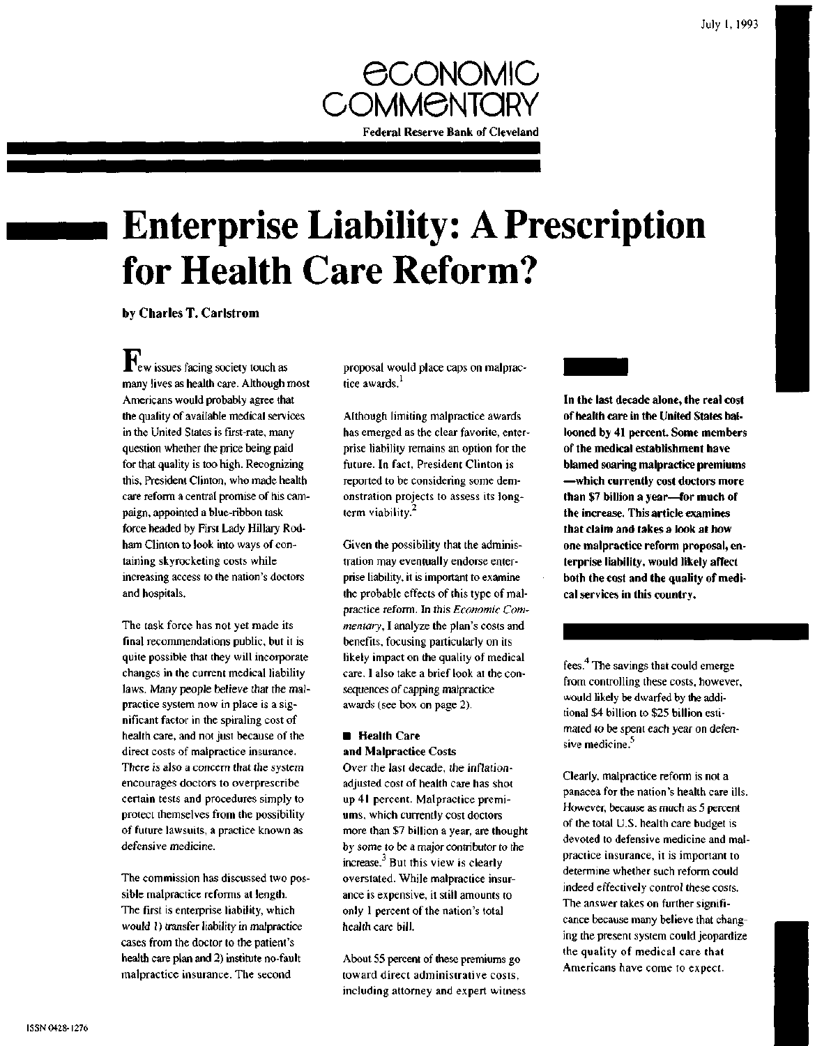

# **Enterprise Liability: A Prescription for Health Care Reform?**

by Charles T. Carlstrom

**H**<sup>T</sup>ew issues facing society touch as many lives as health care. Although most Americans would probably agree that the quality of available medical services in the United States is first-rate, many question whether the price being paid for that quality is too high. Recognizing this, President Clinton, who made health care reform a central promise of his campaign, appointed a blue-ribbon task force headed by First Lady Hillary Rodham Clinton to look into ways of containing skyrocketing costs while increasing access to the nation's doctors and hospitals.

The task force has not yet made its final recommendations public, but it is quite possible that they will incorporate changes in the current medical liability laws. Many people believe that the malpractice system now in place is a significant factor in the spiraling cost of health care, and not just because of the direct costs of malpractice insurance. There is also a concern that the system encourages doctors to overprescribe certain tests and procedures simply to protect themselves from the possibility of future lawsuits, a practice known as defensive medicine.

The commission has discussed two possible malpractice reforms at length. The first is enterprise liability, which would 1) transfer liability in malpractice cases from the doctor to the patient's health care plan and 2) institute no-fault malpractice insurance. The second

proposal would place caps on malpractice awards.<sup>1</sup>

Although limiting malpractice awards has emerged as the clear favorite, enterprise liability remains an option for the future. In fact, President Clinton is reported to be considering some demonstration projects to assess its longterm viability.<sup>2</sup>

Given the possibility that the administration may eventually endorse enterprise liability, it is important to examine the probable effects of this type of malpractice reform. In this *Economic Commentary,* I analyze the plan's costs and benefits, focusing particularly on its likely impact on the quality of medical care. I also take a brief look at the consequences of capping malpractice awards (see box on page 2).

## **• Health Care and Malpractice Costs**

Over the last decade, the inflationadjusted cost of health care has shot up 41 percent. Malpractice premiums, which currently cost doctors more than \$7 billion a year, are thought by some to be a major contributor to the increase. $3$  But this view is clearly overstated. While malpractice insurance is expensive, it still amounts to only 1 percent of the nation's total health care bill.

About 55 percent of these premiums go toward direct administrative costs, including attorney and expert witness



**In the last decade alone, the real cost of health care in the United States ballooned by 41 percent. Some members of the medical establishment have blamed soaring malpractice premiums —which currently cost doctors more than \$7 billion a year—for much of the increase. This article examines that claim and takes a look at how one malpractice reform proposal, enterprise liability, would likely affect both the cost and the quality of medical services in this country.**

fees.<sup>4</sup> The savings that could emerge from controlling these costs, however, would likely be dwarfed by the additional \$4 billion to \$25 billion estimated to be spent each year on defensive medicine. 5

Clearly, malpractice reform is not a panacea for the nation's health care ills. However, because as much as 5 percent of the total U.S. health care budget is devoted to defensive medicine and malpractice insurance, it is important to determine whether such reform could indeed effectively control these costs. The answer takes on further significance because many believe that changing the present system could jeopardize the quality of medical care that Americans have come to expect.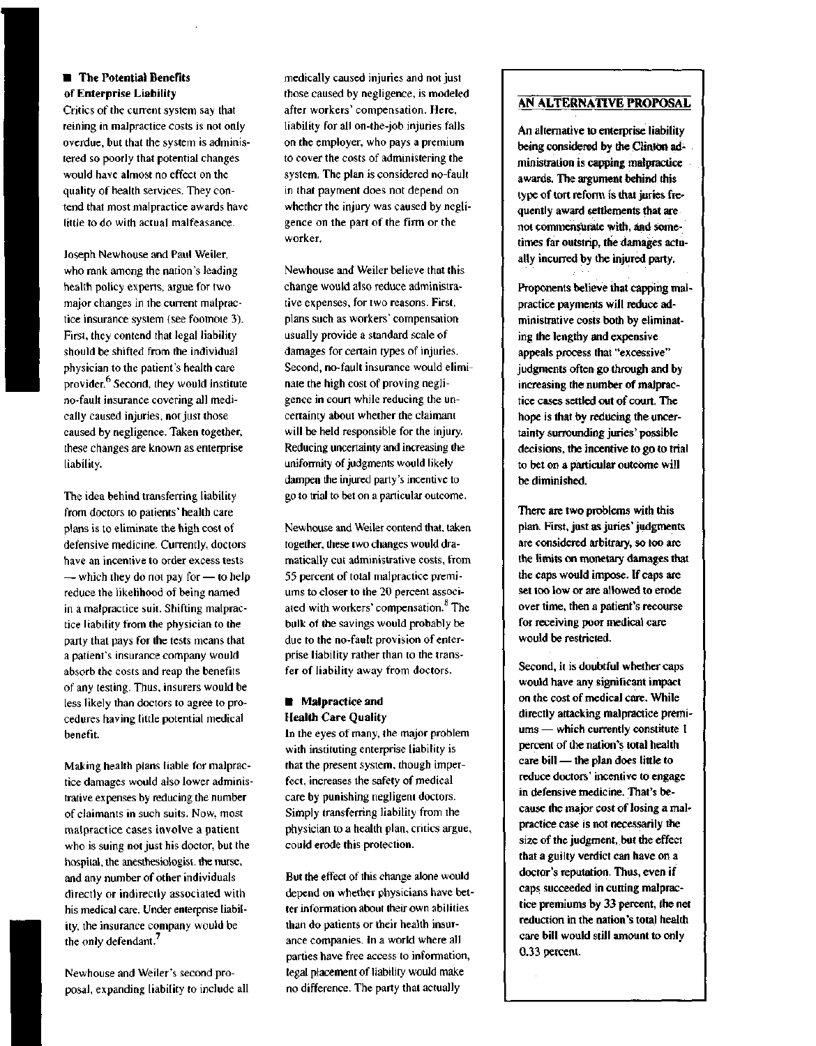## **• The Potential Benefits of Enterprise Liability**

Critics of the current system say that reining in malpractice costs is not only overdue, but that the system is administered so poorly that potential changes would have almost no effect on the quality of health services. They contend that most malpractice awards have little to do with actual malfeasance.

Joseph Newhouse and Paul Weiler, who rank among the nation's leading health policy experts, argue for two major changes in the current malpractice insurance system (see footnote 3). First, they contend that legal liability should be shifted from the individual physician to the patient's health care provider.<sup>6</sup> Second, they would institute no-fault insurance covering all medically caused injuries, not just those caused by negligence. Taken together, these changes are known as enterprise liability.

The idea behind transferring liability from doctors to patients' health care plans is to eliminate the high cost of defensive medicine. Currently, doctors have an incentive to order excess tests — which they do not pay for — to help reduce the likelihood of being named in a malpractice suit. Shifting malpractice liability from the physician to the party that pays for the tests means that a patient's insurance company would absorb the costs and reap the benefits of any testing. Thus, insurers would be less likely than doctors to agree to procedures having little potential medical benefit.

Making health plans liable for malpractice damages would also lower administrative expenses by reducing the number of claimants in such suits. Now, most malpractice cases involve a patient who is suing not just his doctor, but the hospital, the anesthesiologist, the nurse, and any number of other individuals directly or indirectly associated with his medical care. Under enterprise liability, the insurance company would be the only defendant.<sup>7</sup>

Newhouse and Weiler's second proposal, expanding liability to include all medically caused injuries and not just those caused by negligence, is modeled after workers' compensation. Here, liability for all on-the-job injuries falls on the employer, who pays a premium to cover the costs of administering the system. The plan is considered no-fault in that payment does not depend on whether the injury was caused by negligence on the part of the firm or the worker.

Newhouse and Weiler believe that this change would also reduce administrative expenses, for two reasons. First, plans such as workers' compensation usually provide a standard scale of damages for certain types of injuries. Second, no-fault insurance would eliminate the high cost of proving negligence in court while reducing the uncertainty about whether the claimant will be held responsible for the injury. Reducing uncertainty and increasing the uniformity of judgments would likely dampen the injured party's incentive to go to trial to bet on a particular outcome.

Newhouse and Weiler contend that, taken together, these two changes would dramatically cut administrative costs, from 55 percent of total malpractice premiums to closer to the 20 percent associated with workers' compensation.<sup>8</sup> The bulk of the savings would probably be due to the no-fault provision of enterprise liability rather than to the transfer of liability away from doctors.

## **• Malpractice and Health Care Quality**

In the eyes of many, the major problem with instituting enterprise liability is that the present system, though imperfect, increases the safety of medical care by punishing negligent doctors. Simply transferring liability from the physician to a health plan, critics argue, could erode this protection.

But the effect of this change alone would depend on whether physicians have better information about their own abilities than do patients or their health insurance companies. In a world where all parties have free access to information, legal placement of liability would make no difference. The party that actually

## **AN ALTERNATIVE PROPOSAL**

**An alternative to enterprise liability being considered by the Clinton administration is capping malpractice awards. The argument behind this type of tort reform is that juries frequently award settlements that are not commensurate with, and sometimes far outstrip, the damages actually incurred by the injured party.**

**Proponents believe that capping malpractice payments will reduce administrative costs both by eliminating the lengthy and expensive appeals process that "excessive" judgments often go through and by increasing the number of malpractice cases settled out of court. The hope is that by reducing the uncertainty surrounding juries' possible decisions, the incentive to go to trial to bet on a particular outcome will be diminished.**

**There are two problems with this plan. First, just as juries' judgments are considered arbitrary, so too are the limits on monetary damages that the caps would impose. If caps are set too low or are allowed to erode over time, then a patient's recourse for receiving poor medical care would be restricted.**

**Second, it is doubtful whether caps would have any significant impact on the cost of medical care. While directly attacking malpractice premiums — which currently constitute I percent of the nation's total health care bill — the plan does little to reduce doctors' incentive to engage in defensive medicine. That's because the major cost of losing a malpractice case is not necessarily the size of the judgment, but the effect that a guilty verdict can have on a doctor's reputation. Thus, even if caps succeeded in cutting malpractice premiums by 33 percent, the net reduction in the nation's total health care bill would still amount to only 0.33 percent.**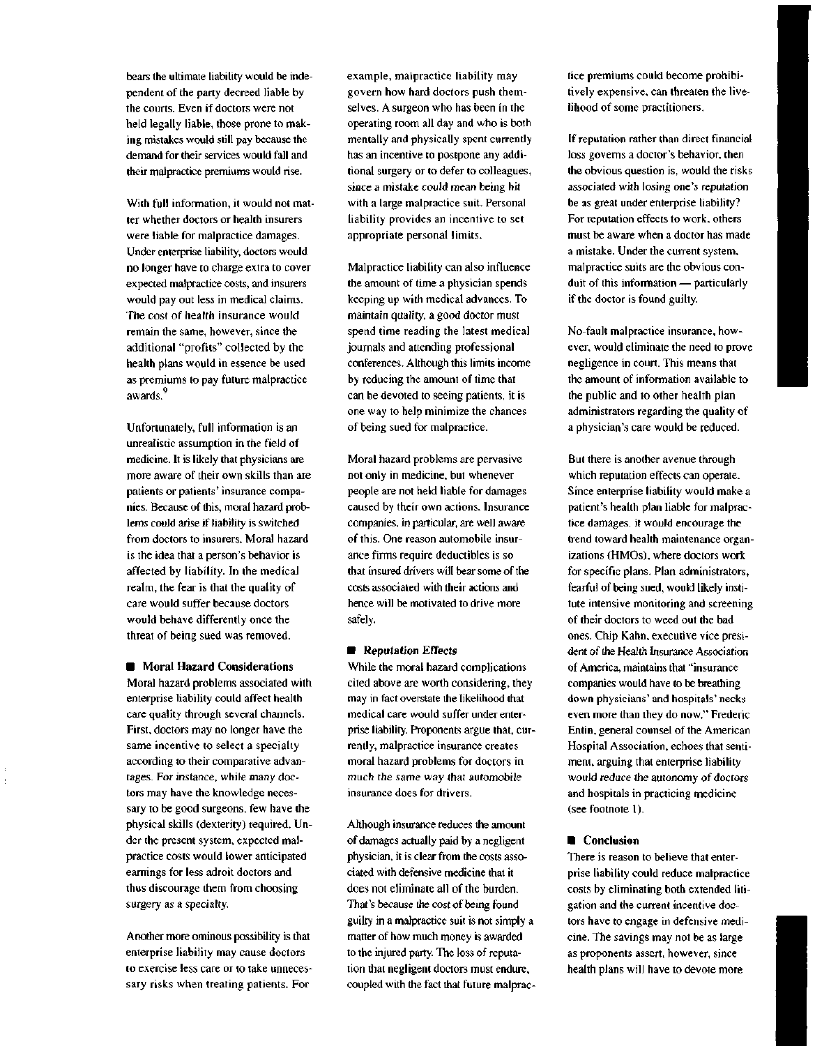bears the ultimate liability would be independent of the party decreed liable by the courts. Even if doctors were not held legally liable, those prone to making mistakes would still pay because the demand for their services would fall and their malpractice premiums would rise.

With full information, it would not matter whether doctors or health insurers were liable for malpractice damages. Under enterprise liability, doctors would no longer have to charge extra to cover expected malpractice costs, and insurers would pay out less in medical claims. The cost of health insurance would remain the same, however, since the additional "profits" collected by the health plans would in essence be used as premiums to pay future malpractice awards.

Unfortunately, full information is an unrealistic assumption in the field of medicine. It is likely that physicians are more aware of their own skills than are patients or patients' insurance companies. Because of this, moral hazard problems could arise if liability is switched from doctors to insurers. Moral hazard is the idea that a person's behavior is affected by liability. In the medical realm, the fear is that the quality of care would suffer because doctors would behave differently once the threat of being sued was removed.

**• Moral Hazard Considerations**

Moral hazard problems associated with enterprise liability could affect health care quality through several channels. First, doctors may no longer have the same incentive to select a specialty according to their comparative advantages. For instance, while many doctors may have the knowledge necessary to be good surgeons, few have the physical skills (dexterity) required. Under the present system, expected malpractice costs would lower anticipated earnings for less adroit doctors and thus discourage them from choosing surgery as a specialty.

Another more ominous possibility is that enterprise liability may cause doctors to exercise less care or to take unnecessary risks when treating patients. For

example, malpractice liability may govern how hard doctors push themselves. A surgeon who has been in the operating room all day and who is both mentally and physically spent currently has an incentive to postpone any additional surgery or to defer to colleagues, since a mistake could mean being hit with a large malpractice suit. Personal liability provides an incentive to set appropriate personal limits.

Malpractice liability can also influence the amount of time a physician spends keeping up with medical advances. To maintain quality, a good doctor must spend time reading the latest medical journals and attending professional conferences. Although this limits income by reducing the amount of time that can be devoted to seeing patients, it is one way to help minimize the chances of being sued for malpractice.

Moral hazard problems are pervasive not only in medicine, but whenever people are not held liable for damages caused by their own actions. Insurance companies, in particular, are well aware of this. One reason automobile insurance firms require deductibles is so that insured drivers will bear some of the costs associated with their actions and hence will be motivated to drive more safely.

#### **• Reputation Effects**

While the moral hazard complications cited above are worth considering, they may in fact overstate the likelihood that medical care would suffer under enterprise liability. Proponents argue that, currently, malpractice insurance creates moral hazard problems for doctors in much the same way that automobile insurance does for drivers.

Although insurance reduces the amount of damages actually paid by a negligent physician, it is clear from the costs associated with defensive medicine that it does not eliminate all of the burden. That's because the cost of being found guilty in a malpractice suit is not simply a matter of how much money is awarded to the injured party. The loss of reputation that negligent doctors must endure, coupled with the fact that future malprac-

tice premiums could become prohibitively expensive, can threaten the livelihood of some practitioners.

If reputation rather than direct financial loss governs a doctor's behavior, then the obvious question is, would the risks associated with losing one's reputation be as great under enterprise liability? For reputation effects to work, others must be aware when a doctor has made a mistake. Under the current system, malpractice suits are the obvious conduit of this information — particularly if the doctor is found guilty.

No-fault malpractice insurance, however, would eliminate the need to prove negligence in court. This means that the amount of information available to the public and to other health plan administrators regarding the quality of a physician's care would be reduced.

But there is another avenue through which reputation effects can operate. Since enterprise liability would make a patient's health plan liable for malpractice damages, it would encourage the trend toward health maintenance organizations (HMOs), where doctors work for specific plans. Plan administrators, fearful of being sued, would likely institute intensive monitoring and screening of their doctors to weed out the bad ones. Chip Kahn, executive vice president of the Health Insurance Association of America, maintains that "insurance companies would have to be breathing down physicians' and hospitals' necks even more than they do now." Frederic Entin, general counsel of the American Hospital Association, echoes that sentiment, arguing that enterprise liability would reduce the autonomy of doctors and hospitals in practicing medicine (see footnote 1).

### **• Conclusion**

There is reason to believe that enterprise liability could reduce malpractice costs by eliminating both extended litigation and the current incentive doctors have to engage in defensive medicine. The savings may not be as large as proponents assert, however, since health plans will have to devote more